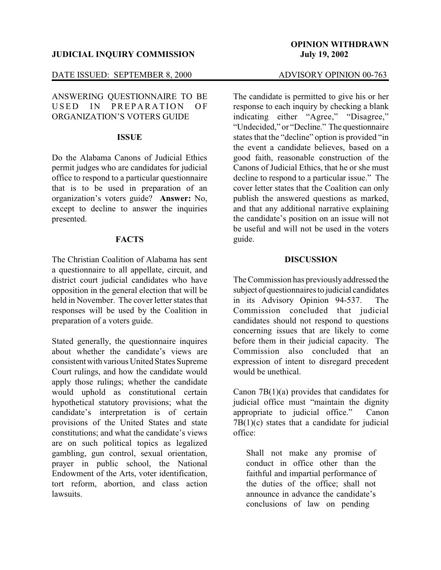## **JUDICIAL INQUIRY COMMISSION** July 19, 2002

#### DATE ISSUED: SEPTEMBER 8, 2000 ADVISORY OPINION 00-763

# ANSWERING QUESTIONNAIRE TO BE USED IN PREPARATION OF ORGANIZATION'S VOTERS GUIDE

#### **ISSUE**

Do the Alabama Canons of Judicial Ethics permit judges who are candidates for judicial office to respond to a particular questionnaire that is to be used in preparation of an organization's voters guide? **Answer:** No, except to decline to answer the inquiries presented.

# **FACTS**

The Christian Coalition of Alabama has sent a questionnaire to all appellate, circuit, and district court judicial candidates who have opposition in the general election that will be held in November. The cover letter states that responses will be used by the Coalition in preparation of a voters guide.

Stated generally, the questionnaire inquires about whether the candidate's views are consistent with various United States Supreme Court rulings, and how the candidate would apply those rulings; whether the candidate would uphold as constitutional certain hypothetical statutory provisions; what the candidate's interpretation is of certain provisions of the United States and state constitutions; and what the candidate's views are on such political topics as legalized gambling, gun control, sexual orientation, prayer in public school, the National Endowment of the Arts, voter identification, tort reform, abortion, and class action lawsuits.

# **OPINION WITHDRAWN**

The candidate is permitted to give his or her response to each inquiry by checking a blank indicating either "Agree," "Disagree," "Undecided," or "Decline." The questionnaire states that the "decline" option is provided "in the event a candidate believes, based on a good faith, reasonable construction of the Canons of Judicial Ethics, that he or she must decline to respond to a particular issue." The cover letter states that the Coalition can only publish the answered questions as marked, and that any additional narrative explaining the candidate's position on an issue will not be useful and will not be used in the voters guide.

#### **DISCUSSION**

The Commission has previouslyaddressed the subject of questionnaires to judicial candidates in its Advisory Opinion 94-537. The Commission concluded that judicial candidates should not respond to questions concerning issues that are likely to come before them in their judicial capacity. The Commission also concluded that an expression of intent to disregard precedent would be unethical.

Canon 7B(1)(a) provides that candidates for judicial office must "maintain the dignity appropriate to judicial office." Canon  $7B(1)(c)$  states that a candidate for judicial office:

Shall not make any promise of conduct in office other than the faithful and impartial performance of the duties of the office; shall not announce in advance the candidate's conclusions of law on pending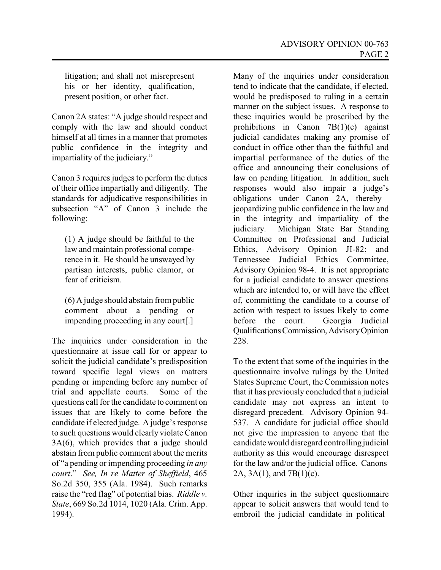litigation; and shall not misrepresent his or her identity, qualification, present position, or other fact.

Canon 2A states: "A judge should respect and comply with the law and should conduct himself at all times in a manner that promotes public confidence in the integrity and impartiality of the judiciary."

Canon 3 requires judges to perform the duties of their office impartially and diligently. The standards for adjudicative responsibilities in subsection "A" of Canon 3 include the following:

(1) A judge should be faithful to the law and maintain professional competence in it. He should be unswayed by partisan interests, public clamor, or fear of criticism.

(6) A judge should abstain from public comment about a pending or impending proceeding in any court[.]

The inquiries under consideration in the questionnaire at issue call for or appear to solicit the judicial candidate's predisposition toward specific legal views on matters pending or impending before any number of trial and appellate courts. Some of the questions call for the candidate to comment on issues that are likely to come before the candidate if elected judge. A judge's response to such questions would clearly violate Canon 3A(6), which provides that a judge should abstain from public comment about the merits of "a pending or impending proceeding *in any court*." *See, In re Matter of Sheffield*, 465 So.2d 350, 355 (Ala. 1984). Such remarks raise the "red flag" of potential bias. *Riddle v. State*, 669 So.2d 1014, 1020 (Ala. Crim. App. 1994).

Many of the inquiries under consideration tend to indicate that the candidate, if elected, would be predisposed to ruling in a certain manner on the subject issues. A response to these inquiries would be proscribed by the prohibitions in Canon  $7B(1)(c)$  against judicial candidates making any promise of conduct in office other than the faithful and impartial performance of the duties of the office and announcing their conclusions of law on pending litigation. In addition, such responses would also impair a judge's obligations under Canon 2A, thereby jeopardizing public confidence in the law and in the integrity and impartiality of the judiciary. Michigan State Bar Standing Committee on Professional and Judicial Ethics, Advisory Opinion JI-82; and Tennessee Judicial Ethics Committee, Advisory Opinion 98-4. It is not appropriate for a judicial candidate to answer questions which are intended to, or will have the effect of, committing the candidate to a course of action with respect to issues likely to come before the court. Georgia Judicial QualificationsCommission,AdvisoryOpinion 228.

To the extent that some of the inquiries in the questionnaire involve rulings by the United States Supreme Court, the Commission notes that it has previously concluded that a judicial candidate may not express an intent to disregard precedent. Advisory Opinion 94- 537. A candidate for judicial office should not give the impression to anyone that the candidate would disregard controlling judicial authority as this would encourage disrespect for the law and/or the judicial office. Canons 2A, 3A(1), and 7B(1)(c).

Other inquiries in the subject questionnaire appear to solicit answers that would tend to embroil the judicial candidate in political